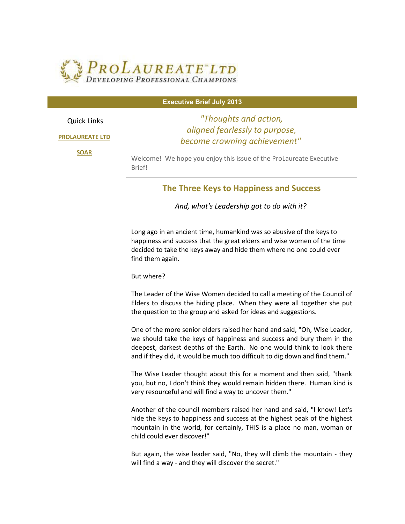

Quick Links

**[PROLAUREATE LTD](http://r20.rs6.net/tn.jsp?e=001b36vg8_ip5q_j7gwPcLL2B7lpS-ff1gCsXPnU32klTkM1hSgtvFymz5MTaoGP5jKzvcrlG2JAlpzInBzhWUX2VT4WIxKT9xlvwTs5DLTNyuQbs-OyD5RSA==)**

**[SOAR](http://r20.rs6.net/tn.jsp?e=001b36vg8_ip5q_j7gwPcLL2B7lpS-ff1gCsXPnU32klTkM1hSgtvFymz5MTaoGP5jKzvcrlG2JAlpzInBzhWUX2eorzsRpRXkyC5ykG_2P9L4fdVXXz81ZgA==)**

## **Executive Brief July 2013**

*"Thoughts and action, aligned fearlessly to purpose, become crowning achievement"* 

Welcome! We hope you enjoy this issue of the ProLaureate Executive Brief!

## **The Three Keys to Happiness and Success**

*And, what's Leadership got to do with it?* 

Long ago in an ancient time, humankind was so abusive of the keys to happiness and success that the great elders and wise women of the time decided to take the keys away and hide them where no one could ever find them again.

But where?

The Leader of the Wise Women decided to call a meeting of the Council of Elders to discuss the hiding place. When they were all together she put the question to the group and asked for ideas and suggestions.

One of the more senior elders raised her hand and said, "Oh, Wise Leader, we should take the keys of happiness and success and bury them in the deepest, darkest depths of the Earth. No one would think to look there and if they did, it would be much too difficult to dig down and find them."

The Wise Leader thought about this for a moment and then said, "thank you, but no, I don't think they would remain hidden there. Human kind is very resourceful and will find a way to uncover them."

Another of the council members raised her hand and said, "I know! Let's hide the keys to happiness and success at the highest peak of the highest mountain in the world, for certainly, THIS is a place no man, woman or child could ever discover!"

But again, the wise leader said, "No, they will climb the mountain - they will find a way - and they will discover the secret."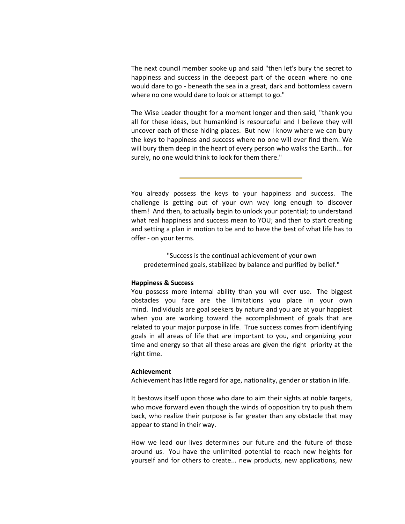The next council member spoke up and said "then let's bury the secret to happiness and success in the deepest part of the ocean where no one would dare to go - beneath the sea in a great, dark and bottomless cavern where no one would dare to look or attempt to go."

The Wise Leader thought for a moment longer and then said, "thank you all for these ideas, but humankind is resourceful and I believe they will uncover each of those hiding places. But now I know where we can bury the keys to happiness and success where no one will ever find them. We will bury them deep in the heart of every person who walks the Earth... for surely, no one would think to look for them there."

You already possess the keys to your happiness and success. The challenge is getting out of your own way long enough to discover them! And then, to actually begin to unlock your potential; to understand what real happiness and success mean to YOU; and then to start creating and setting a plan in motion to be and to have the best of what life has to offer - on your terms.

"Success is the continual achievement of your own predetermined goals, stabilized by balance and purified by belief."

## **Happiness & Success**

You possess more internal ability than you will ever use. The biggest obstacles you face are the limitations you place in your own mind. Individuals are goal seekers by nature and you are at your happiest when you are working toward the accomplishment of goals that are related to your major purpose in life. True success comes from identifying goals in all areas of life that are important to you, and organizing your time and energy so that all these areas are given the right priority at the right time.

## **Achievement**

Achievement has little regard for age, nationality, gender or station in life.

It bestows itself upon those who dare to aim their sights at noble targets, who move forward even though the winds of opposition try to push them back, who realize their purpose is far greater than any obstacle that may appear to stand in their way.

How we lead our lives determines our future and the future of those around us. You have the unlimited potential to reach new heights for yourself and for others to create... new products, new applications, new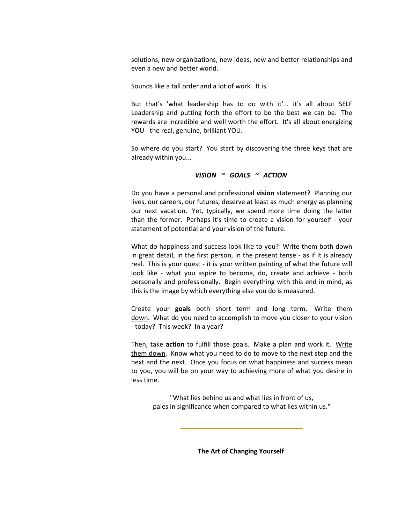solutions, new organizations, new ideas, new and better relationships and even a new and better world.

Sounds like a tall order and a lot of work. It is.

But that's 'what leadership has to do with it'... it's all about SELF Leadership and putting forth the effort to be the best we can be. The rewards are incredible and well worth the effort. It's all about energizing YOU - the real, genuine, brilliant YOU.

So where do you start? You start by discovering the three keys that are already within you...

$$
VISION \sim GOALS \sim ACTION
$$

Do you have a personal and professional **vision** statement? Planning our lives, our careers, our futures, deserve at least as much energy as planning our next vacation. Yet, typically, we spend more time doing the latter than the former. Perhaps it's time to create a vision for yourself - your statement of potential and your vision of the future.

What do happiness and success look like to you? Write them both down in great detail, in the first person, in the present tense - as if it is already real. This is your quest - it is your written painting of what the future will look like - what you aspire to become, do, create and achieve - both personally and professionally. Begin everything with this end in mind, as this is the image by which everything else you do is measured.

Create your **goals** both short term and long term. Write them down. What do you need to accomplish to move you closer to your vision - today? This week? In a year?

Then, take **action** to fulfill those goals. Make a plan and work it. Write them down. Know what you need to do to move to the next step and the next and the next. Once you focus on what happiness and success mean to you, you will be on your way to achieving more of what you desire in less time.

"What lies behind us and what lies in front of us, pales in significance when compared to what lies within us."

**The Art of Changing Yourself**